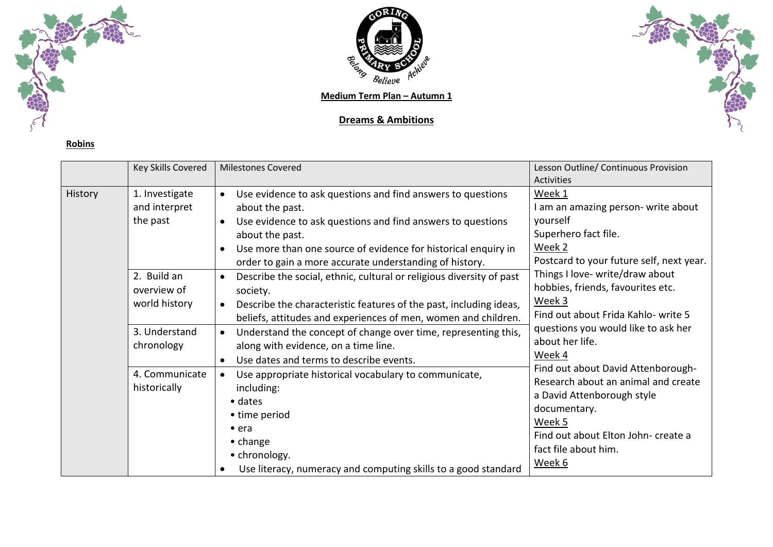



**Medium Term Plan – Autumn 1**

## **Dreams & Ambitions**



| Robin<br>י |  |
|------------|--|
|            |  |

|         | Key Skills Covered                          | <b>Milestones Covered</b>                                                                                                                                                                                                                                                                                     | Lesson Outline/ Continuous Provision                                                                                                                                                                       |
|---------|---------------------------------------------|---------------------------------------------------------------------------------------------------------------------------------------------------------------------------------------------------------------------------------------------------------------------------------------------------------------|------------------------------------------------------------------------------------------------------------------------------------------------------------------------------------------------------------|
|         |                                             |                                                                                                                                                                                                                                                                                                               | <b>Activities</b>                                                                                                                                                                                          |
| History | 1. Investigate<br>and interpret<br>the past | Use evidence to ask questions and find answers to questions<br>about the past.<br>Use evidence to ask questions and find answers to questions<br>about the past.<br>Use more than one source of evidence for historical enquiry in                                                                            | Week 1<br>I am an amazing person- write about<br>yourself<br>Superhero fact file.<br>Week 2                                                                                                                |
|         | 2. Build an<br>overview of<br>world history | order to gain a more accurate understanding of history.<br>Describe the social, ethnic, cultural or religious diversity of past<br>$\bullet$<br>society.<br>Describe the characteristic features of the past, including ideas,<br>$\bullet$<br>beliefs, attitudes and experiences of men, women and children. | Postcard to your future self, next year.<br>Things I love- write/draw about<br>hobbies, friends, favourites etc.<br>Week 3<br>Find out about Frida Kahlo- write 5                                          |
|         | 3. Understand<br>chronology                 | Understand the concept of change over time, representing this,<br>$\bullet$<br>along with evidence, on a time line.<br>Use dates and terms to describe events.<br>$\bullet$                                                                                                                                   | questions you would like to ask her<br>about her life.<br>Week 4                                                                                                                                           |
|         | 4. Communicate<br>historically              | Use appropriate historical vocabulary to communicate,<br>$\bullet$<br>including:<br>$\bullet$ dates<br>• time period<br>$\bullet$ era<br>$\bullet$ change<br>• chronology.<br>Use literacy, numeracy and computing skills to a good standard                                                                  | Find out about David Attenborough-<br>Research about an animal and create<br>a David Attenborough style<br>documentary.<br>Week 5<br>Find out about Elton John- create a<br>fact file about him.<br>Week 6 |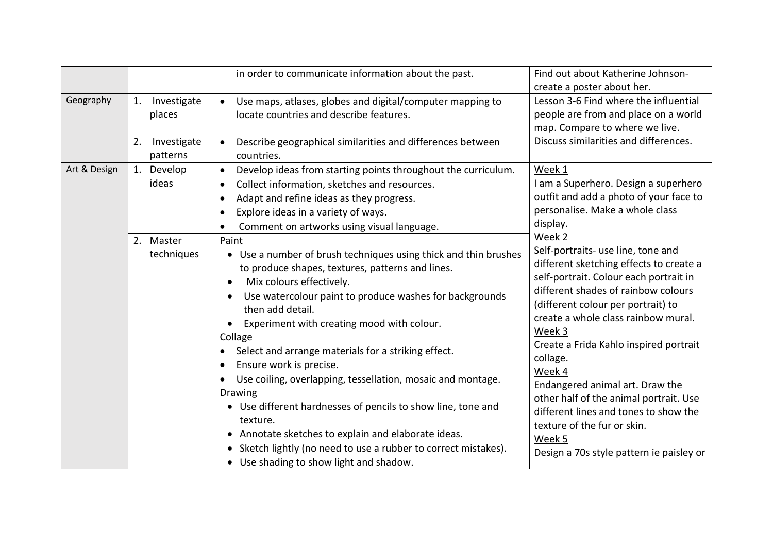|              |                               | in order to communicate information about the past.                                                                                                                                                                                                                                                                                                                                                                                                                                                                                                                                                                                                                                                                                          | Find out about Katherine Johnson-<br>create a poster about her.                                                                                                                                                                                                                                                                                                                                                                                                                                                                            |
|--------------|-------------------------------|----------------------------------------------------------------------------------------------------------------------------------------------------------------------------------------------------------------------------------------------------------------------------------------------------------------------------------------------------------------------------------------------------------------------------------------------------------------------------------------------------------------------------------------------------------------------------------------------------------------------------------------------------------------------------------------------------------------------------------------------|--------------------------------------------------------------------------------------------------------------------------------------------------------------------------------------------------------------------------------------------------------------------------------------------------------------------------------------------------------------------------------------------------------------------------------------------------------------------------------------------------------------------------------------------|
| Geography    | Investigate<br>1.<br>places   | Use maps, atlases, globes and digital/computer mapping to<br>$\bullet$<br>locate countries and describe features.                                                                                                                                                                                                                                                                                                                                                                                                                                                                                                                                                                                                                            | Lesson 3-6 Find where the influential<br>people are from and place on a world<br>map. Compare to where we live.                                                                                                                                                                                                                                                                                                                                                                                                                            |
|              | Investigate<br>2.<br>patterns | Describe geographical similarities and differences between<br>countries.                                                                                                                                                                                                                                                                                                                                                                                                                                                                                                                                                                                                                                                                     | Discuss similarities and differences.                                                                                                                                                                                                                                                                                                                                                                                                                                                                                                      |
| Art & Design | 1. Develop<br>ideas           | Develop ideas from starting points throughout the curriculum.<br>$\bullet$<br>Collect information, sketches and resources.<br>$\bullet$<br>Adapt and refine ideas as they progress.<br>$\bullet$<br>Explore ideas in a variety of ways.<br>Comment on artworks using visual language.                                                                                                                                                                                                                                                                                                                                                                                                                                                        | Week 1<br>I am a Superhero. Design a superhero<br>outfit and add a photo of your face to<br>personalise. Make a whole class<br>display.                                                                                                                                                                                                                                                                                                                                                                                                    |
|              | 2. Master<br>techniques       | Paint<br>• Use a number of brush techniques using thick and thin brushes<br>to produce shapes, textures, patterns and lines.<br>Mix colours effectively.<br>$\bullet$<br>Use watercolour paint to produce washes for backgrounds<br>then add detail.<br>Experiment with creating mood with colour.<br>Collage<br>Select and arrange materials for a striking effect.<br>Ensure work is precise.<br>$\bullet$<br>Use coiling, overlapping, tessellation, mosaic and montage.<br><b>Drawing</b><br>• Use different hardnesses of pencils to show line, tone and<br>texture.<br>• Annotate sketches to explain and elaborate ideas.<br>Sketch lightly (no need to use a rubber to correct mistakes).<br>• Use shading to show light and shadow. | Week 2<br>Self-portraits- use line, tone and<br>different sketching effects to create a<br>self-portrait. Colour each portrait in<br>different shades of rainbow colours<br>(different colour per portrait) to<br>create a whole class rainbow mural.<br>Week 3<br>Create a Frida Kahlo inspired portrait<br>collage.<br>Week 4<br>Endangered animal art. Draw the<br>other half of the animal portrait. Use<br>different lines and tones to show the<br>texture of the fur or skin.<br>Week 5<br>Design a 70s style pattern ie paisley or |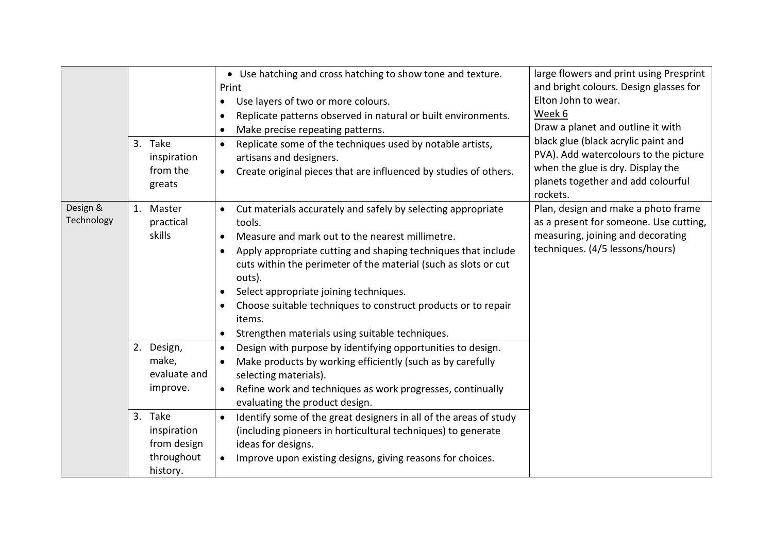|                        | 3. Take<br>inspiration<br>from the<br>greats                                                                       | • Use hatching and cross hatching to show tone and texture.<br>Print<br>Use layers of two or more colours.<br>$\bullet$<br>Replicate patterns observed in natural or built environments.<br>$\bullet$<br>Make precise repeating patterns.<br>$\bullet$<br>Replicate some of the techniques used by notable artists,<br>$\bullet$<br>artisans and designers.<br>Create original pieces that are influenced by studies of others.<br>$\bullet$                                                                                                 | large flowers and print using Presprint<br>and bright colours. Design glasses for<br>Elton John to wear.<br>Week 6<br>Draw a planet and outline it with<br>black glue (black acrylic paint and<br>PVA). Add watercolours to the picture<br>when the glue is dry. Display the<br>planets together and add colourful<br>rockets. |
|------------------------|--------------------------------------------------------------------------------------------------------------------|----------------------------------------------------------------------------------------------------------------------------------------------------------------------------------------------------------------------------------------------------------------------------------------------------------------------------------------------------------------------------------------------------------------------------------------------------------------------------------------------------------------------------------------------|--------------------------------------------------------------------------------------------------------------------------------------------------------------------------------------------------------------------------------------------------------------------------------------------------------------------------------|
| Design &<br>Technology | 1. Master<br>practical<br>skills                                                                                   | Cut materials accurately and safely by selecting appropriate<br>$\bullet$<br>tools.<br>Measure and mark out to the nearest millimetre.<br>$\bullet$<br>Apply appropriate cutting and shaping techniques that include<br>$\bullet$<br>cuts within the perimeter of the material (such as slots or cut<br>outs).<br>Select appropriate joining techniques.<br>$\bullet$<br>Choose suitable techniques to construct products or to repair<br>$\bullet$<br>items.<br>Strengthen materials using suitable techniques.<br>$\bullet$                | Plan, design and make a photo frame<br>as a present for someone. Use cutting,<br>measuring, joining and decorating<br>techniques. (4/5 lessons/hours)                                                                                                                                                                          |
|                        | 2. Design,<br>make,<br>evaluate and<br>improve.<br>3. Take<br>inspiration<br>from design<br>throughout<br>history. | Design with purpose by identifying opportunities to design.<br>$\bullet$<br>Make products by working efficiently (such as by carefully<br>$\bullet$<br>selecting materials).<br>Refine work and techniques as work progresses, continually<br>$\bullet$<br>evaluating the product design.<br>Identify some of the great designers in all of the areas of study<br>$\bullet$<br>(including pioneers in horticultural techniques) to generate<br>ideas for designs.<br>Improve upon existing designs, giving reasons for choices.<br>$\bullet$ |                                                                                                                                                                                                                                                                                                                                |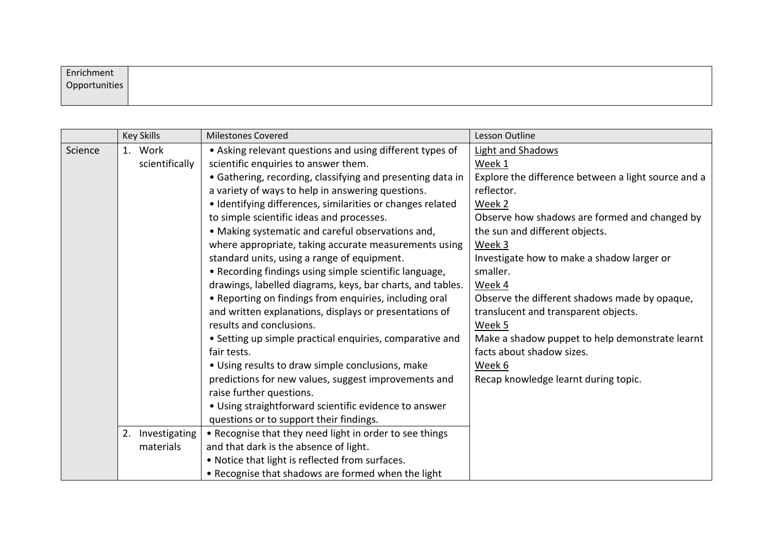| Enrichment    |  |  |  |
|---------------|--|--|--|
| Opportunities |  |  |  |
|               |  |  |  |

|         | <b>Key Skills</b>   | <b>Milestones Covered</b>                                  | Lesson Outline                                      |
|---------|---------------------|------------------------------------------------------------|-----------------------------------------------------|
| Science | 1. Work             | • Asking relevant questions and using different types of   | <b>Light and Shadows</b>                            |
|         | scientifically      | scientific enquiries to answer them.                       | Week 1                                              |
|         |                     | • Gathering, recording, classifying and presenting data in | Explore the difference between a light source and a |
|         |                     | a variety of ways to help in answering questions.          | reflector.                                          |
|         |                     | • Identifying differences, similarities or changes related | Week 2                                              |
|         |                     | to simple scientific ideas and processes.                  | Observe how shadows are formed and changed by       |
|         |                     | • Making systematic and careful observations and,          | the sun and different objects.                      |
|         |                     | where appropriate, taking accurate measurements using      | Week 3                                              |
|         |                     | standard units, using a range of equipment.                | Investigate how to make a shadow larger or          |
|         |                     | • Recording findings using simple scientific language,     | smaller.                                            |
|         |                     | drawings, labelled diagrams, keys, bar charts, and tables. | Week 4                                              |
|         |                     | • Reporting on findings from enquiries, including oral     | Observe the different shadows made by opaque,       |
|         |                     | and written explanations, displays or presentations of     | translucent and transparent objects.                |
|         |                     | results and conclusions.                                   | Week 5                                              |
|         |                     | • Setting up simple practical enquiries, comparative and   | Make a shadow puppet to help demonstrate learnt     |
|         |                     | fair tests.                                                | facts about shadow sizes.                           |
|         |                     | • Using results to draw simple conclusions, make           | Week 6                                              |
|         |                     | predictions for new values, suggest improvements and       | Recap knowledge learnt during topic.                |
|         |                     | raise further questions.                                   |                                                     |
|         |                     | • Using straightforward scientific evidence to answer      |                                                     |
|         |                     | questions or to support their findings.                    |                                                     |
|         | 2.<br>Investigating | • Recognise that they need light in order to see things    |                                                     |
|         | materials           | and that dark is the absence of light.                     |                                                     |
|         |                     | . Notice that light is reflected from surfaces.            |                                                     |
|         |                     | • Recognise that shadows are formed when the light         |                                                     |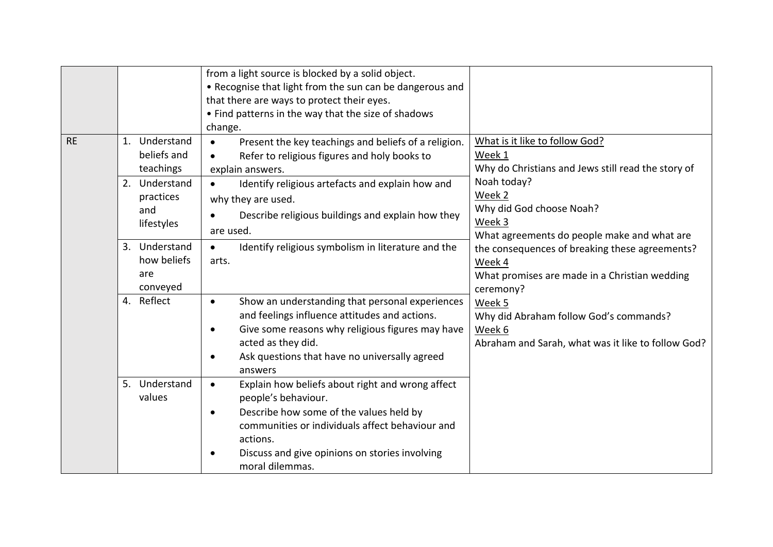|           |                                                                                              | from a light source is blocked by a solid object.<br>• Recognise that light from the sun can be dangerous and<br>that there are ways to protect their eyes.<br>• Find patterns in the way that the size of shadows<br>change.                                                                  |                                                                                                                                                                       |
|-----------|----------------------------------------------------------------------------------------------|------------------------------------------------------------------------------------------------------------------------------------------------------------------------------------------------------------------------------------------------------------------------------------------------|-----------------------------------------------------------------------------------------------------------------------------------------------------------------------|
| <b>RE</b> | 1. Understand<br>beliefs and<br>teachings<br>2. Understand<br>practices<br>and<br>lifestyles | Present the key teachings and beliefs of a religion.<br>$\bullet$<br>Refer to religious figures and holy books to<br>$\bullet$<br>explain answers.<br>Identify religious artefacts and explain how and<br>$\bullet$<br>why they are used.<br>Describe religious buildings and explain how they | What is it like to follow God?<br>Week 1<br>Why do Christians and Jews still read the story of<br>Noah today?<br>Week 2<br>Why did God choose Noah?<br>Week 3         |
|           | 3. Understand<br>how beliefs<br>are<br>conveyed                                              | are used.<br>Identify religious symbolism in literature and the<br>$\bullet$<br>arts.                                                                                                                                                                                                          | What agreements do people make and what are<br>the consequences of breaking these agreements?<br>Week 4<br>What promises are made in a Christian wedding<br>ceremony? |
|           | 4. Reflect                                                                                   | Show an understanding that personal experiences<br>$\bullet$<br>and feelings influence attitudes and actions.<br>Give some reasons why religious figures may have<br>$\bullet$<br>acted as they did.<br>Ask questions that have no universally agreed<br>$\bullet$<br>answers                  | Week 5<br>Why did Abraham follow God's commands?<br>Week 6<br>Abraham and Sarah, what was it like to follow God?                                                      |
|           | 5. Understand<br>values                                                                      | Explain how beliefs about right and wrong affect<br>$\bullet$<br>people's behaviour.<br>Describe how some of the values held by<br>$\bullet$<br>communities or individuals affect behaviour and<br>actions.<br>Discuss and give opinions on stories involving<br>$\bullet$<br>moral dilemmas.  |                                                                                                                                                                       |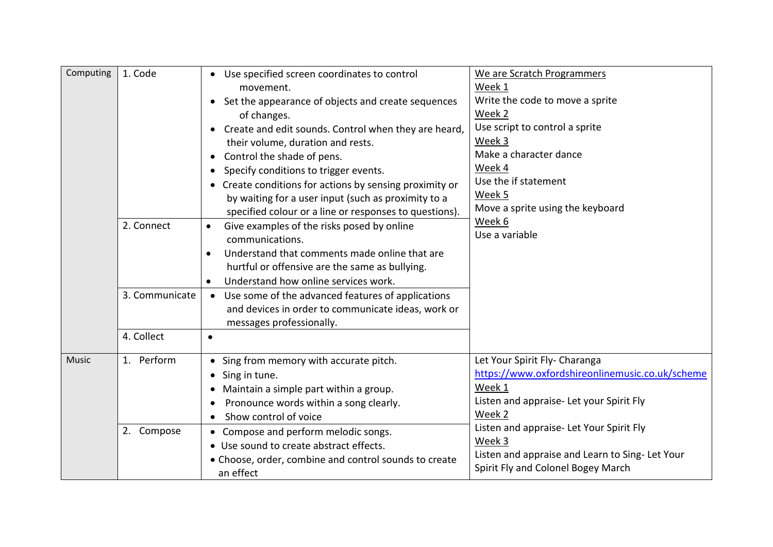| Computing | 1. Code                                    | • Use specified screen coordinates to control<br>movement.<br>• Set the appearance of objects and create sequences<br>of changes.<br>Create and edit sounds. Control when they are heard,<br>$\bullet$<br>their volume, duration and rests.<br>Control the shade of pens.<br>$\bullet$<br>Specify conditions to trigger events.<br>$\bullet$<br>• Create conditions for actions by sensing proximity or<br>by waiting for a user input (such as proximity to a | We are Scratch Programmers<br>Week 1<br>Write the code to move a sprite<br>Week 2<br>Use script to control a sprite<br>Week 3<br>Make a character dance<br>Week 4<br>Use the if statement<br>Week 5                                                                                            |
|-----------|--------------------------------------------|----------------------------------------------------------------------------------------------------------------------------------------------------------------------------------------------------------------------------------------------------------------------------------------------------------------------------------------------------------------------------------------------------------------------------------------------------------------|------------------------------------------------------------------------------------------------------------------------------------------------------------------------------------------------------------------------------------------------------------------------------------------------|
|           | 2. Connect<br>3. Communicate<br>4. Collect | specified colour or a line or responses to questions).<br>Give examples of the risks posed by online<br>$\bullet$<br>communications.<br>Understand that comments made online that are<br>hurtful or offensive are the same as bullying.<br>Understand how online services work.<br>Use some of the advanced features of applications<br>$\bullet$<br>and devices in order to communicate ideas, work or<br>messages professionally.<br>$\bullet$               | Move a sprite using the keyboard<br>Week 6<br>Use a variable                                                                                                                                                                                                                                   |
| Music     | 1. Perform<br>2. Compose                   | Sing from memory with accurate pitch.<br>$\bullet$<br>Sing in tune.<br>$\bullet$<br>Maintain a simple part within a group.<br>$\bullet$<br>Pronounce words within a song clearly.<br>Show control of voice<br>$\bullet$<br>• Compose and perform melodic songs.<br>• Use sound to create abstract effects.<br>• Choose, order, combine and control sounds to create<br>an effect                                                                               | Let Your Spirit Fly- Charanga<br>https://www.oxfordshireonlinemusic.co.uk/scheme<br>Week 1<br>Listen and appraise- Let your Spirit Fly<br>Week 2<br>Listen and appraise- Let Your Spirit Fly<br>Week 3<br>Listen and appraise and Learn to Sing-Let Your<br>Spirit Fly and Colonel Bogey March |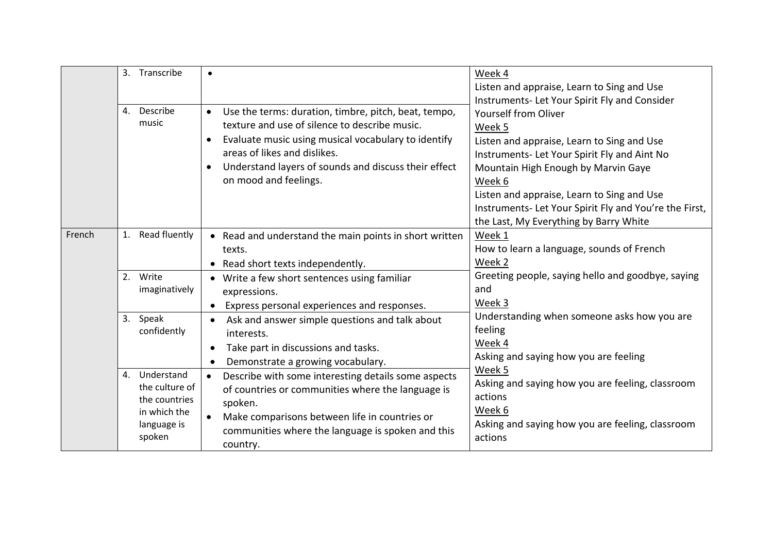|        | 3. Transcribe                                                                             |                                                                                                                                                                                                                                                                                            | Week 4<br>Listen and appraise, Learn to Sing and Use<br>Instruments- Let Your Spirit Fly and Consider                                                                                                                                                                                                                                  |
|--------|-------------------------------------------------------------------------------------------|--------------------------------------------------------------------------------------------------------------------------------------------------------------------------------------------------------------------------------------------------------------------------------------------|----------------------------------------------------------------------------------------------------------------------------------------------------------------------------------------------------------------------------------------------------------------------------------------------------------------------------------------|
|        | 4. Describe<br>music                                                                      | Use the terms: duration, timbre, pitch, beat, tempo,<br>texture and use of silence to describe music.<br>Evaluate music using musical vocabulary to identify<br>$\bullet$<br>areas of likes and dislikes.<br>Understand layers of sounds and discuss their effect<br>on mood and feelings. | <b>Yourself from Oliver</b><br>Week 5<br>Listen and appraise, Learn to Sing and Use<br>Instruments- Let Your Spirit Fly and Aint No<br>Mountain High Enough by Marvin Gaye<br>Week 6<br>Listen and appraise, Learn to Sing and Use<br>Instruments- Let Your Spirit Fly and You're the First,<br>the Last, My Everything by Barry White |
| French | 1. Read fluently                                                                          | • Read and understand the main points in short written<br>texts.<br>Read short texts independently.                                                                                                                                                                                        | Week 1<br>How to learn a language, sounds of French<br>Week 2                                                                                                                                                                                                                                                                          |
|        | 2. Write<br>imaginatively                                                                 | Write a few short sentences using familiar<br>expressions.<br>Express personal experiences and responses.                                                                                                                                                                                  | Greeting people, saying hello and goodbye, saying<br>and<br>Week 3                                                                                                                                                                                                                                                                     |
|        | 3. Speak<br>confidently                                                                   | Ask and answer simple questions and talk about<br>$\bullet$<br>interests.<br>Take part in discussions and tasks.<br>$\bullet$<br>Demonstrate a growing vocabulary.                                                                                                                         | Understanding when someone asks how you are<br>feeling<br>Week 4<br>Asking and saying how you are feeling                                                                                                                                                                                                                              |
|        | 4. Understand<br>the culture of<br>the countries<br>in which the<br>language is<br>spoken | Describe with some interesting details some aspects<br>$\bullet$<br>of countries or communities where the language is<br>spoken.<br>Make comparisons between life in countries or<br>communities where the language is spoken and this<br>country.                                         | Week 5<br>Asking and saying how you are feeling, classroom<br>actions<br>Week 6<br>Asking and saying how you are feeling, classroom<br>actions                                                                                                                                                                                         |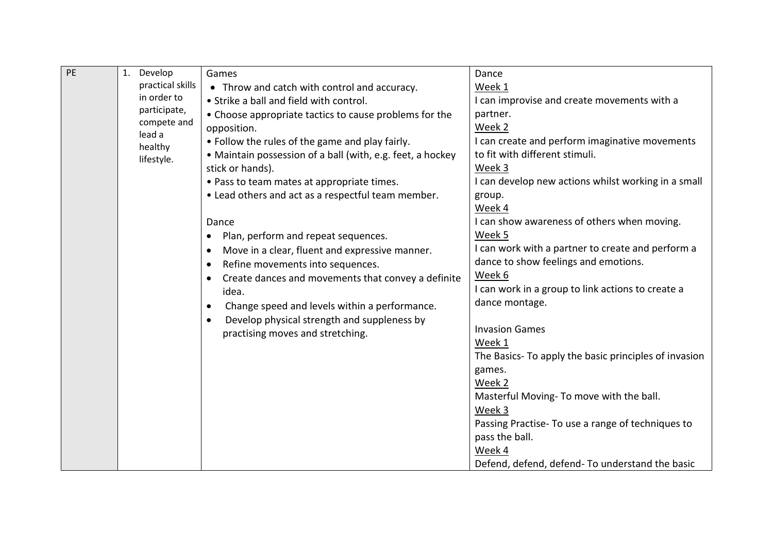| PE | 1. Develop            | Games                                                      | Dance                                                 |
|----|-----------------------|------------------------------------------------------------|-------------------------------------------------------|
|    | practical skills      | • Throw and catch with control and accuracy.               | Week 1                                                |
|    | in order to           | • Strike a ball and field with control.                    | I can improvise and create movements with a           |
|    | participate,          | • Choose appropriate tactics to cause problems for the     | partner.                                              |
|    | compete and<br>lead a | opposition.                                                | Week 2                                                |
|    | healthy               | • Follow the rules of the game and play fairly.            | I can create and perform imaginative movements        |
|    | lifestyle.            | • Maintain possession of a ball (with, e.g. feet, a hockey | to fit with different stimuli.                        |
|    |                       | stick or hands).                                           | Week 3                                                |
|    |                       | . Pass to team mates at appropriate times.                 | I can develop new actions whilst working in a small   |
|    |                       | • Lead others and act as a respectful team member.         | group.                                                |
|    |                       |                                                            | Week 4                                                |
|    |                       | Dance                                                      | I can show awareness of others when moving.           |
|    |                       | Plan, perform and repeat sequences.<br>$\bullet$           | Week 5                                                |
|    |                       | Move in a clear, fluent and expressive manner.             | I can work with a partner to create and perform a     |
|    |                       | Refine movements into sequences.                           | dance to show feelings and emotions.                  |
|    |                       | Create dances and movements that convey a definite         | Week 6                                                |
|    |                       | idea.                                                      | I can work in a group to link actions to create a     |
|    |                       | Change speed and levels within a performance.              | dance montage.                                        |
|    |                       | Develop physical strength and suppleness by                |                                                       |
|    |                       | practising moves and stretching.                           | <b>Invasion Games</b>                                 |
|    |                       |                                                            | Week 1                                                |
|    |                       |                                                            | The Basics- To apply the basic principles of invasion |
|    |                       |                                                            | games.                                                |
|    |                       |                                                            | Week 2                                                |
|    |                       |                                                            | Masterful Moving- To move with the ball.              |
|    |                       |                                                            | Week 3                                                |
|    |                       |                                                            | Passing Practise- To use a range of techniques to     |
|    |                       |                                                            | pass the ball.                                        |
|    |                       |                                                            | Week 4                                                |
|    |                       |                                                            | Defend, defend, defend- To understand the basic       |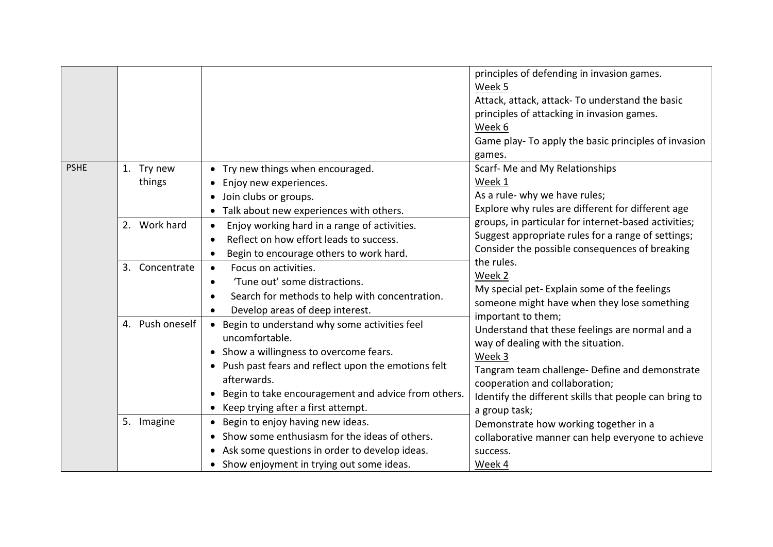|             |                      |                                                                                                                                                                                                                                                                                 | principles of defending in invasion games.<br>Week 5<br>Attack, attack, attack- To understand the basic<br>principles of attacking in invasion games.<br>Week 6<br>Game play- To apply the basic principles of invasion<br>games.                                                    |
|-------------|----------------------|---------------------------------------------------------------------------------------------------------------------------------------------------------------------------------------------------------------------------------------------------------------------------------|--------------------------------------------------------------------------------------------------------------------------------------------------------------------------------------------------------------------------------------------------------------------------------------|
| <b>PSHE</b> | 1. Try new<br>things | Try new things when encouraged.<br>Enjoy new experiences.<br>Join clubs or groups.<br>$\bullet$<br>Talk about new experiences with others.                                                                                                                                      | Scarf- Me and My Relationships<br>Week 1<br>As a rule- why we have rules;<br>Explore why rules are different for different age                                                                                                                                                       |
|             | 2. Work hard         | Enjoy working hard in a range of activities.<br>$\bullet$<br>Reflect on how effort leads to success.<br>Begin to encourage others to work hard.<br>$\bullet$                                                                                                                    | groups, in particular for internet-based activities;<br>Suggest appropriate rules for a range of settings;<br>Consider the possible consequences of breaking<br>the rules.                                                                                                           |
|             | 3. Concentrate       | Focus on activities.<br>$\bullet$<br>'Tune out' some distractions.<br>$\bullet$<br>Search for methods to help with concentration.<br>$\bullet$<br>Develop areas of deep interest.                                                                                               | Week 2<br>My special pet-Explain some of the feelings<br>someone might have when they lose something                                                                                                                                                                                 |
|             | 4. Push oneself      | • Begin to understand why some activities feel<br>uncomfortable.<br>• Show a willingness to overcome fears.<br>• Push past fears and reflect upon the emotions felt<br>afterwards.<br>Begin to take encouragement and advice from others.<br>Keep trying after a first attempt. | important to them;<br>Understand that these feelings are normal and a<br>way of dealing with the situation.<br>Week 3<br>Tangram team challenge- Define and demonstrate<br>cooperation and collaboration;<br>Identify the different skills that people can bring to<br>a group task; |
|             | 5. Imagine           | Begin to enjoy having new ideas.<br>Show some enthusiasm for the ideas of others.<br>Ask some questions in order to develop ideas.<br>• Show enjoyment in trying out some ideas.                                                                                                | Demonstrate how working together in a<br>collaborative manner can help everyone to achieve<br>success.<br>Week 4                                                                                                                                                                     |